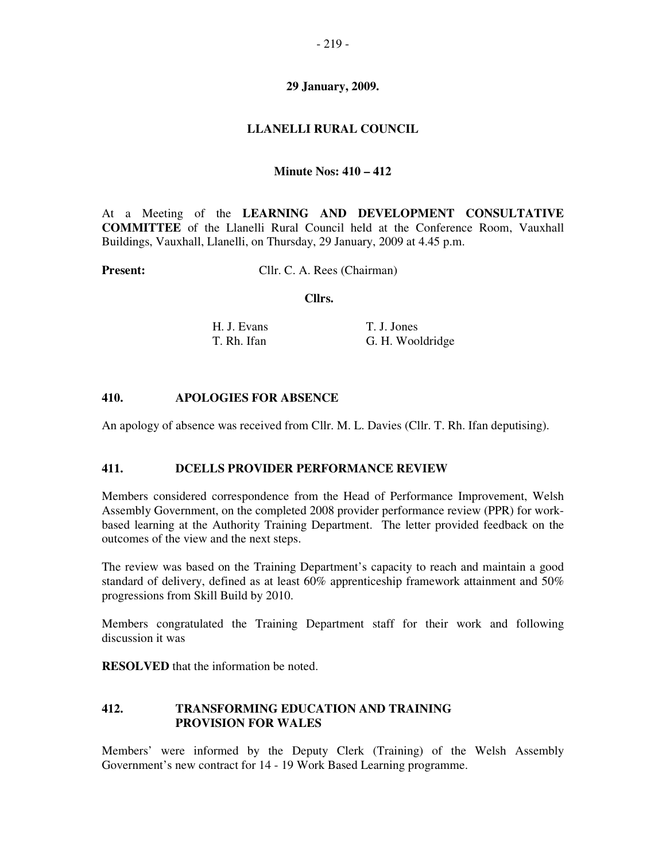# **29 January, 2009.**

## **LLANELLI RURAL COUNCIL**

### **Minute Nos: 410 – 412**

At a Meeting of the **LEARNING AND DEVELOPMENT CONSULTATIVE COMMITTEE** of the Llanelli Rural Council held at the Conference Room, Vauxhall Buildings, Vauxhall, Llanelli, on Thursday, 29 January, 2009 at 4.45 p.m.

**Present:** Cllr. C. A. Rees (Chairman)

#### **Cllrs.**

| H. J. Evans | T. J. Jones      |
|-------------|------------------|
| T. Rh. Ifan | G. H. Wooldridge |

#### **410. APOLOGIES FOR ABSENCE**

An apology of absence was received from Cllr. M. L. Davies (Cllr. T. Rh. Ifan deputising).

#### **411. DCELLS PROVIDER PERFORMANCE REVIEW**

Members considered correspondence from the Head of Performance Improvement, Welsh Assembly Government, on the completed 2008 provider performance review (PPR) for workbased learning at the Authority Training Department. The letter provided feedback on the outcomes of the view and the next steps.

The review was based on the Training Department's capacity to reach and maintain a good standard of delivery, defined as at least 60% apprenticeship framework attainment and 50% progressions from Skill Build by 2010.

Members congratulated the Training Department staff for their work and following discussion it was

**RESOLVED** that the information be noted.

## **412. TRANSFORMING EDUCATION AND TRAINING PROVISION FOR WALES**

Members' were informed by the Deputy Clerk (Training) of the Welsh Assembly Government's new contract for 14 - 19 Work Based Learning programme.